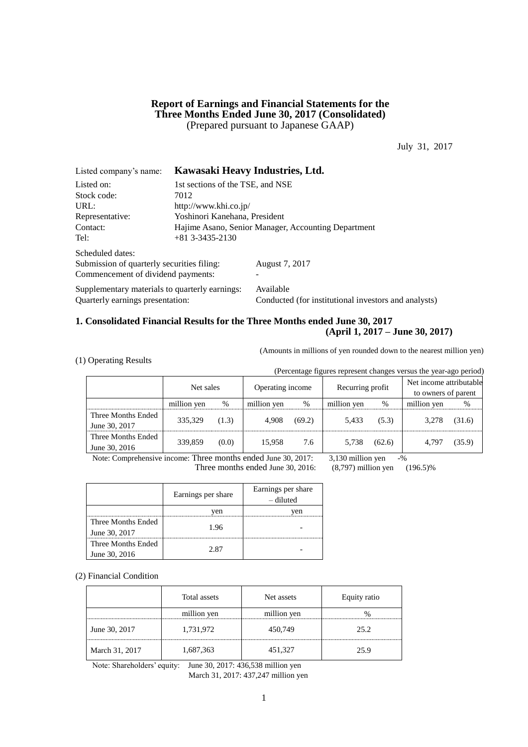## **Report of Earnings and Financial Statements for the Three Months Ended June 30, 2017 (Consolidated)** (Prepared pursuant to Japanese GAAP)

July 31, 2017

| Listed company's name:                         |                                                     | Kawasaki Heavy Industries, Ltd.                      |  |  |  |  |
|------------------------------------------------|-----------------------------------------------------|------------------------------------------------------|--|--|--|--|
| Listed on:                                     | 1st sections of the TSE, and NSE                    |                                                      |  |  |  |  |
| Stock code:                                    | 7012                                                |                                                      |  |  |  |  |
| URL:                                           | http://www.khi.co.jp/                               |                                                      |  |  |  |  |
| Representative:                                | Yoshinori Kanehana, President                       |                                                      |  |  |  |  |
| Contact:                                       | Hajime Asano, Senior Manager, Accounting Department |                                                      |  |  |  |  |
| Tel:                                           | $+81$ 3-3435-2130                                   |                                                      |  |  |  |  |
| Scheduled dates:                               |                                                     |                                                      |  |  |  |  |
| Submission of quarterly securities filing:     |                                                     | August 7, 2017                                       |  |  |  |  |
| Commencement of dividend payments:             |                                                     |                                                      |  |  |  |  |
| Supplementary materials to quarterly earnings: |                                                     | Available                                            |  |  |  |  |
| Quarterly earnings presentation:               |                                                     | Conducted (for institutional investors and analysts) |  |  |  |  |

## **1. Consolidated Financial Results for the Three Months ended June 30, 2017 (April 1, 2017 – June 30, 2017)**

(Amounts in millions of yen rounded down to the nearest million yen)

|  |  | (1) Operating Results |  |
|--|--|-----------------------|--|
|--|--|-----------------------|--|

(Percentage figures represent changes versus the year-ago period)

|                                     | Net sales   |       | Operating income |        | Recurring profit |        | Net income attributable<br>to owners of parent |        |
|-------------------------------------|-------------|-------|------------------|--------|------------------|--------|------------------------------------------------|--------|
|                                     | million yen | %     | million yen      | %      | million yen      | $\%$   | million yen                                    | %      |
| Three Months Ended<br>June 30, 2017 | 335,329     | (1.3) | 4.908            | (69.2) | 5.433            | (5.3)  | 3.278                                          | (31.6) |
| Three Months Ended<br>June 30, 2016 | 339,859     | (0.0) | 15.958           | 7.6    | 5.738            | (62.6) | 4.797                                          | (35.9) |

Note: Comprehensive income: Three months ended June 30, 2017: 3,130 million yen -%

Three months ended June 30, 2016: (8,797) million yen (196.5)%

|                    | Earnings per share | Earnings per share<br>- diluted |
|--------------------|--------------------|---------------------------------|
|                    | ven                | ven                             |
| Three Months Ended | 1.96               |                                 |
| June 30, 2017      |                    |                                 |
| Three Months Ended | 2.87               |                                 |
| June 30, 2016      |                    |                                 |

(2) Financial Condition

|                | Total assets | Net assets  | Equity ratio |
|----------------|--------------|-------------|--------------|
|                | million yen  | million yen |              |
| June 30, 2017  | 1,731,972    | 450,749     | 25.2         |
| March 31, 2017 | 1,687,363    | 451,327     | 25.9         |

Note: Shareholders' equity: June 30, 2017: 436,538 million yen March 31, 2017: 437,247 million yen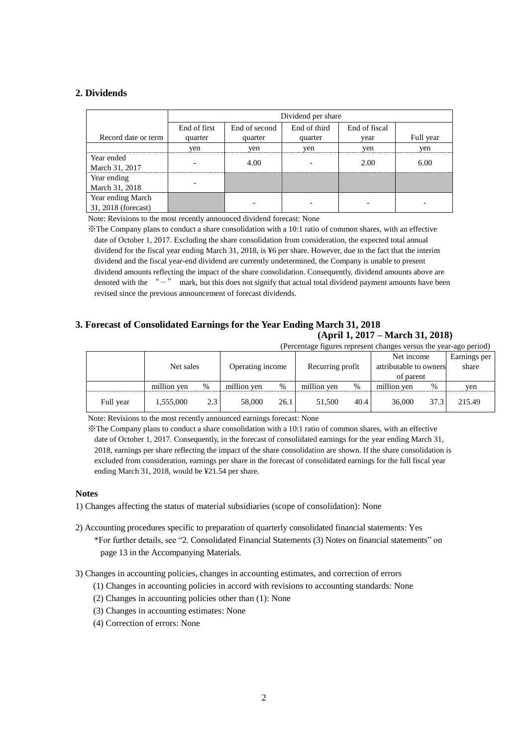## **2. Dividends**

|                     |              | Dividend per share |              |               |           |  |  |  |  |  |  |
|---------------------|--------------|--------------------|--------------|---------------|-----------|--|--|--|--|--|--|
|                     | End of first | End of second      | End of third | End of fiscal |           |  |  |  |  |  |  |
| Record date or term | quarter      | quarter            | quarter      | vear          | Full year |  |  |  |  |  |  |
|                     | yen          | yen                | yen          | yen           | yen       |  |  |  |  |  |  |
| Year ended          |              | 4.00               |              | 2.00          | 6.00      |  |  |  |  |  |  |
| March 31, 2017      |              |                    |              |               |           |  |  |  |  |  |  |
| Year ending         |              |                    |              |               |           |  |  |  |  |  |  |
| March 31, 2018      |              |                    |              |               |           |  |  |  |  |  |  |
| Year ending March   |              |                    |              |               |           |  |  |  |  |  |  |
| 31, 2018 (forecast) |              |                    |              |               |           |  |  |  |  |  |  |

Note: Revisions to the most recently announced dividend forecast: None

※The Company plans to conduct a share consolidation with a 10:1 ratio of common shares, with an effective date of October 1, 2017. Excluding the share consolidation from consideration, the expected total annual dividend for the fiscal year ending March 31, 2018, is ¥6 per share. However, due to the fact that the interim dividend and the fiscal year-end dividend are currently undetermined, the Company is unable to present dividend amounts reflecting the impact of the share consolidation. Consequently, dividend amounts above are denoted with the "-" mark, but this does not signify that actual total dividend payment amounts have been revised since the previous announcement of forecast dividends.

## **3. Forecast of Consolidated Earnings for the Year Ending March 31, 2018 (April 1, 2017 – March 31, 2018)**

(Percentage figures represent changes versus the year-ago period)

|           |             | Net sales |             | Operating income |             | Recurring profit |             | Net income<br>attributable to owners<br>of parent | Earnings per<br>share |
|-----------|-------------|-----------|-------------|------------------|-------------|------------------|-------------|---------------------------------------------------|-----------------------|
|           | million ven | %         | million yen | $\%$             | million yen | $\%$             | million ven | %                                                 | ven                   |
| Full year | 1,555,000   | 2.3       | 58,000      | 26.1             | 51.500      | 40.4             | 36,000      | 37.3                                              | 215.49                |

Note: Revisions to the most recently announced earnings forecast: None

※The Company plans to conduct a share consolidation with a 10:1 ratio of common shares, with an effective date of October 1, 2017. Consequently, in the forecast of consolidated earnings for the year ending March 31, 2018, earnings per share reflecting the impact of the share consolidation are shown. If the share consolidation is excluded from consideration, earnings per share in the forecast of consolidated earnings for the full fiscal year ending March 31, 2018, would be ¥21.54 per share.

#### **Notes**

1) Changes affecting the status of material subsidiaries (scope of consolidation): None

2) Accounting procedures specific to preparation of quarterly consolidated financial statements: Yes \*For further details, see "2. Consolidated Financial Statements (3) Notes on financial statements" on page 13 in the Accompanying Materials.

3) Changes in accounting policies, changes in accounting estimates, and correction of errors

(1) Changes in accounting policies in accord with revisions to accounting standards: None

- (2) Changes in accounting policies other than (1): None
- (3) Changes in accounting estimates: None
- (4) Correction of errors: None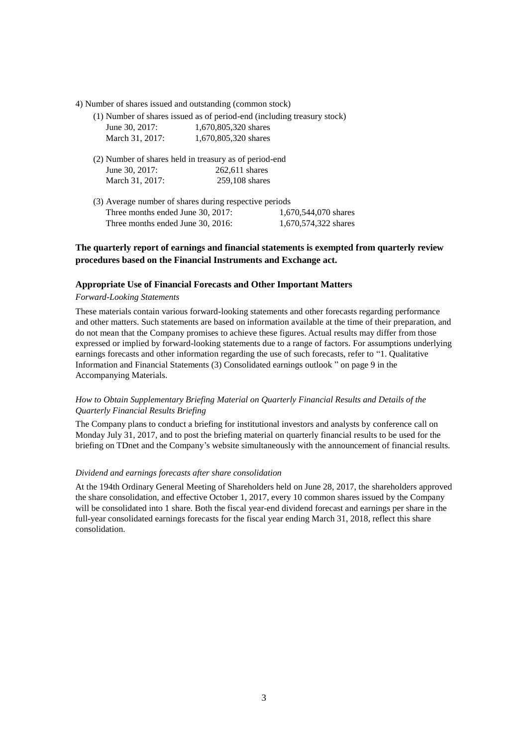- 4) Number of shares issued and outstanding (common stock)
	- (1) Number of shares issued as of period-end (including treasury stock) June 30, 2017: 1,670,805,320 shares

| March 31, 2017:                                        | 1,670,805,320 shares |
|--------------------------------------------------------|----------------------|
| (2) Number of shares held in treasury as of period-end |                      |

- June 30, 2017: 262,611 shares March 31, 2017: 259,108 shares
- (3) Average number of shares during respective periods Three months ended June 30, 2017: 1,670,544,070 shares Three months ended June 30, 2016: 1,670,574,322 shares

## **The quarterly report of earnings and financial statements is exempted from quarterly review procedures based on the Financial Instruments and Exchange act.**

#### **Appropriate Use of Financial Forecasts and Other Important Matters**

#### *Forward-Looking Statements*

These materials contain various forward-looking statements and other forecasts regarding performance and other matters. Such statements are based on information available at the time of their preparation, and do not mean that the Company promises to achieve these figures. Actual results may differ from those expressed or implied by forward-looking statements due to a range of factors. For assumptions underlying earnings forecasts and other information regarding the use of such forecasts, refer to "1. Qualitative Information and Financial Statements (3) Consolidated earnings outlook " on page 9 in the Accompanying Materials.

#### *How to Obtain Supplementary Briefing Material on Quarterly Financial Results and Details of the Quarterly Financial Results Briefing*

The Company plans to conduct a briefing for institutional investors and analysts by conference call on Monday July 31, 2017, and to post the briefing material on quarterly financial results to be used for the briefing on TDnet and the Company's website simultaneously with the announcement of financial results.

#### *Dividend and earnings forecasts after share consolidation*

At the 194th Ordinary General Meeting of Shareholders held on June 28, 2017, the shareholders approved the share consolidation, and effective October 1, 2017, every 10 common shares issued by the Company will be consolidated into 1 share. Both the fiscal year-end dividend forecast and earnings per share in the full-year consolidated earnings forecasts for the fiscal year ending March 31, 2018, reflect this share consolidation.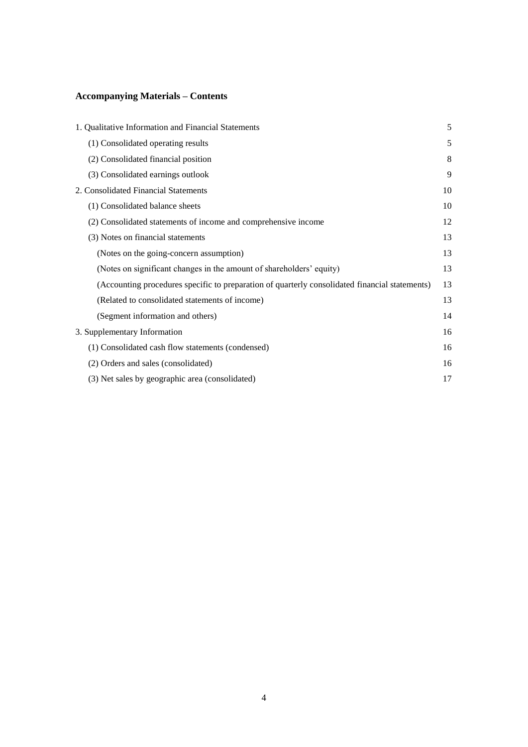# **Accompanying Materials – Contents**

| 1. Qualitative Information and Financial Statements                                            | 5  |
|------------------------------------------------------------------------------------------------|----|
| (1) Consolidated operating results                                                             | 5  |
| (2) Consolidated financial position                                                            | 8  |
| (3) Consolidated earnings outlook                                                              | 9  |
| 2. Consolidated Financial Statements                                                           | 10 |
| (1) Consolidated balance sheets                                                                | 10 |
| (2) Consolidated statements of income and comprehensive income                                 | 12 |
| (3) Notes on financial statements                                                              | 13 |
| (Notes on the going-concern assumption)                                                        | 13 |
| (Notes on significant changes in the amount of shareholders' equity)                           | 13 |
| (Accounting procedures specific to preparation of quarterly consolidated financial statements) | 13 |
| (Related to consolidated statements of income)                                                 | 13 |
| (Segment information and others)                                                               | 14 |
| 3. Supplementary Information                                                                   | 16 |
| (1) Consolidated cash flow statements (condensed)                                              | 16 |
| (2) Orders and sales (consolidated)                                                            | 16 |
| (3) Net sales by geographic area (consolidated)                                                | 17 |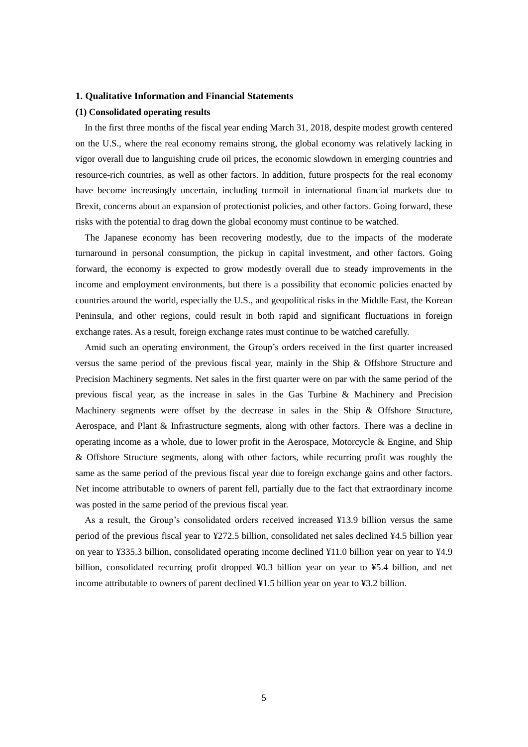#### **1. Qualitative Information and Financial Statements**

#### **(1) Consolidated operating results**

In the first three months of the fiscal year ending March 31, 2018, despite modest growth centered on the U.S., where the real economy remains strong, the global economy was relatively lacking in vigor overall due to languishing crude oil prices, the economic slowdown in emerging countries and resource-rich countries, as well as other factors. In addition, future prospects for the real economy have become increasingly uncertain, including turmoil in international financial markets due to Brexit, concerns about an expansion of protectionist policies, and other factors. Going forward, these risks with the potential to drag down the global economy must continue to be watched.

The Japanese economy has been recovering modestly, due to the impacts of the moderate turnaround in personal consumption, the pickup in capital investment, and other factors. Going forward, the economy is expected to grow modestly overall due to steady improvements in the income and employment environments, but there is a possibility that economic policies enacted by countries around the world, especially the U.S., and geopolitical risks in the Middle East, the Korean Peninsula, and other regions, could result in both rapid and significant fluctuations in foreign exchange rates. As a result, foreign exchange rates must continue to be watched carefully.

Amid such an operating environment, the Group's orders received in the first quarter increased versus the same period of the previous fiscal year, mainly in the Ship & Offshore Structure and Precision Machinery segments. Net sales in the first quarter were on par with the same period of the previous fiscal year, as the increase in sales in the Gas Turbine & Machinery and Precision Machinery segments were offset by the decrease in sales in the Ship & Offshore Structure, Aerospace, and Plant & Infrastructure segments, along with other factors. There was a decline in operating income as a whole, due to lower profit in the Aerospace, Motorcycle & Engine, and Ship & Offshore Structure segments, along with other factors, while recurring profit was roughly the same as the same period of the previous fiscal year due to foreign exchange gains and other factors. Net income attributable to owners of parent fell, partially due to the fact that extraordinary income was posted in the same period of the previous fiscal year.

As a result, the Group's consolidated orders received increased ¥13.9 billion versus the same period of the previous fiscal year to ¥272.5 billion, consolidated net sales declined ¥4.5 billion year on year to ¥335.3 billion, consolidated operating income declined ¥11.0 billion year on year to ¥4.9 billion, consolidated recurring profit dropped ¥0.3 billion year on year to ¥5.4 billion, and net income attributable to owners of parent declined ¥1.5 billion year on year to ¥3.2 billion.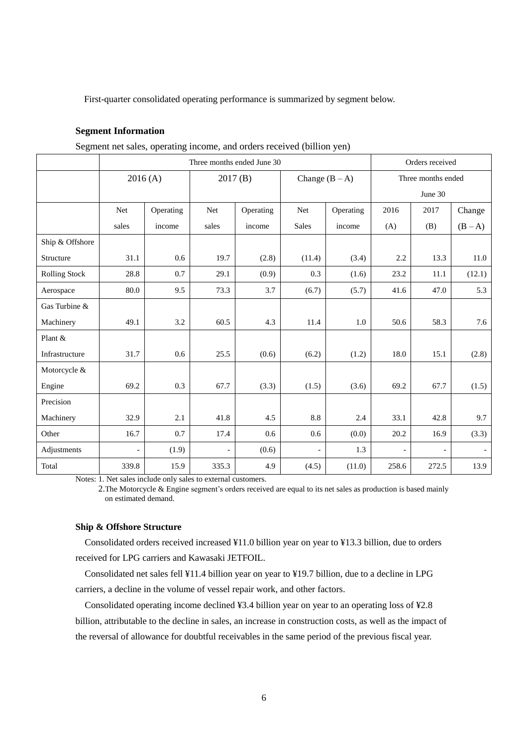First-quarter consolidated operating performance is summarized by segment below.

#### **Segment Information**

| $\alpha$             |                            |                    |                |                  |                          |                    |                          |                 |                          |  |
|----------------------|----------------------------|--------------------|----------------|------------------|--------------------------|--------------------|--------------------------|-----------------|--------------------------|--|
|                      | Three months ended June 30 |                    |                |                  |                          |                    |                          | Orders received |                          |  |
|                      |                            | 2016(A)<br>2017(B) |                | Change $(B - A)$ |                          | Three months ended |                          |                 |                          |  |
|                      |                            |                    |                |                  |                          |                    |                          | June 30         |                          |  |
|                      | Net                        | Operating          | Net            | Operating        | <b>Net</b>               | Operating          | 2016                     | 2017            | Change                   |  |
|                      | sales                      | income             | sales          | income           | <b>Sales</b>             | income             | (A)                      | (B)             | $(B-A)$                  |  |
| Ship & Offshore      |                            |                    |                |                  |                          |                    |                          |                 |                          |  |
| Structure            | 31.1                       | 0.6                | 19.7           | (2.8)            | (11.4)                   | (3.4)              | 2.2                      | 13.3            | 11.0                     |  |
| <b>Rolling Stock</b> | 28.8                       | 0.7                | 29.1           | (0.9)            | 0.3                      | (1.6)              | 23.2                     | 11.1            | (12.1)                   |  |
| Aerospace            | 80.0                       | 9.5                | 73.3           | 3.7              | (6.7)                    | (5.7)              | 41.6                     | 47.0            | 5.3                      |  |
| Gas Turbine &        |                            |                    |                |                  |                          |                    |                          |                 |                          |  |
| Machinery            | 49.1                       | 3.2                | 60.5           | 4.3              | 11.4                     | 1.0                | 50.6                     | 58.3            | 7.6                      |  |
| Plant &              |                            |                    |                |                  |                          |                    |                          |                 |                          |  |
| Infrastructure       | 31.7                       | 0.6                | 25.5           | (0.6)            | (6.2)                    | (1.2)              | 18.0                     | 15.1            | (2.8)                    |  |
| Motorcycle &         |                            |                    |                |                  |                          |                    |                          |                 |                          |  |
| Engine               | 69.2                       | 0.3                | 67.7           | (3.3)            | (1.5)                    | (3.6)              | 69.2                     | 67.7            | (1.5)                    |  |
| Precision            |                            |                    |                |                  |                          |                    |                          |                 |                          |  |
| Machinery            | 32.9                       | 2.1                | 41.8           | 4.5              | 8.8                      | 2.4                | 33.1                     | 42.8            | 9.7                      |  |
| Other                | 16.7                       | 0.7                | 17.4           | 0.6              | 0.6                      | (0.0)              | 20.2                     | 16.9            | (3.3)                    |  |
| Adjustments          | $\overline{\phantom{a}}$   | (1.9)              | $\overline{a}$ | (0.6)            | $\overline{\phantom{a}}$ | 1.3                | $\overline{\phantom{a}}$ |                 | $\overline{\phantom{a}}$ |  |
| Total                | 339.8                      | 15.9               | 335.3          | 4.9              | (4.5)                    | (11.0)             | 258.6                    | 272.5           | 13.9                     |  |

Segment net sales, operating income, and orders received (billion yen)

Notes: 1. Net sales include only sales to external customers.

2.The Motorcycle & Engine segment's orders received are equal to its net sales as production is based mainly on estimated demand.

#### **Ship & Offshore Structure**

Consolidated orders received increased ¥11.0 billion year on year to ¥13.3 billion, due to orders received for LPG carriers and Kawasaki JETFOIL.

Consolidated net sales fell ¥11.4 billion year on year to ¥19.7 billion, due to a decline in LPG carriers, a decline in the volume of vessel repair work, and other factors.

Consolidated operating income declined ¥3.4 billion year on year to an operating loss of ¥2.8 billion, attributable to the decline in sales, an increase in construction costs, as well as the impact of the reversal of allowance for doubtful receivables in the same period of the previous fiscal year.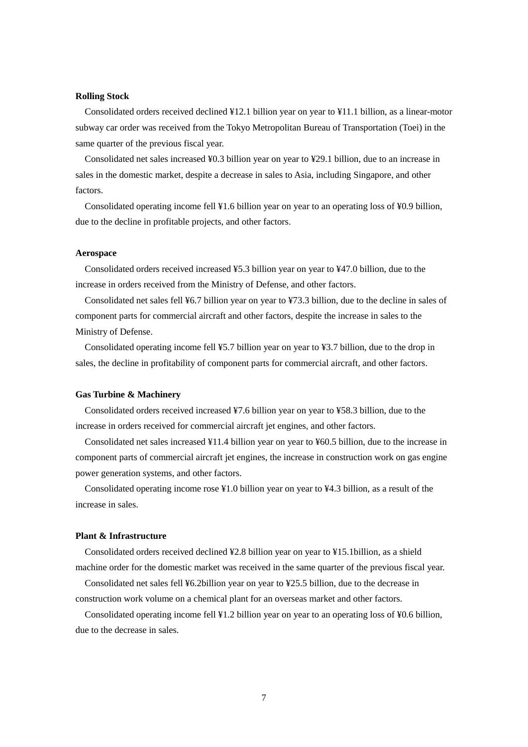#### **Rolling Stock**

Consolidated orders received declined ¥12.1 billion year on year to ¥11.1 billion, as a linear-motor subway car order was received from the Tokyo Metropolitan Bureau of Transportation (Toei) in the same quarter of the previous fiscal year.

Consolidated net sales increased ¥0.3 billion year on year to ¥29.1 billion, due to an increase in sales in the domestic market, despite a decrease in sales to Asia, including Singapore, and other factors.

Consolidated operating income fell ¥1.6 billion year on year to an operating loss of ¥0.9 billion, due to the decline in profitable projects, and other factors.

#### **Aerospace**

Consolidated orders received increased ¥5.3 billion year on year to ¥47.0 billion, due to the increase in orders received from the Ministry of Defense, and other factors.

Consolidated net sales fell ¥6.7 billion year on year to ¥73.3 billion, due to the decline in sales of component parts for commercial aircraft and other factors, despite the increase in sales to the Ministry of Defense.

Consolidated operating income fell ¥5.7 billion year on year to ¥3.7 billion, due to the drop in sales, the decline in profitability of component parts for commercial aircraft, and other factors.

#### **Gas Turbine & Machinery**

Consolidated orders received increased ¥7.6 billion year on year to ¥58.3 billion, due to the increase in orders received for commercial aircraft jet engines, and other factors.

Consolidated net sales increased ¥11.4 billion year on year to ¥60.5 billion, due to the increase in component parts of commercial aircraft jet engines, the increase in construction work on gas engine power generation systems, and other factors.

Consolidated operating income rose ¥1.0 billion year on year to ¥4.3 billion, as a result of the increase in sales.

#### **Plant & Infrastructure**

Consolidated orders received declined ¥2.8 billion year on year to ¥15.1billion, as a shield machine order for the domestic market was received in the same quarter of the previous fiscal year.

Consolidated net sales fell ¥6.2billion year on year to ¥25.5 billion, due to the decrease in construction work volume on a chemical plant for an overseas market and other factors.

Consolidated operating income fell ¥1.2 billion year on year to an operating loss of ¥0.6 billion, due to the decrease in sales.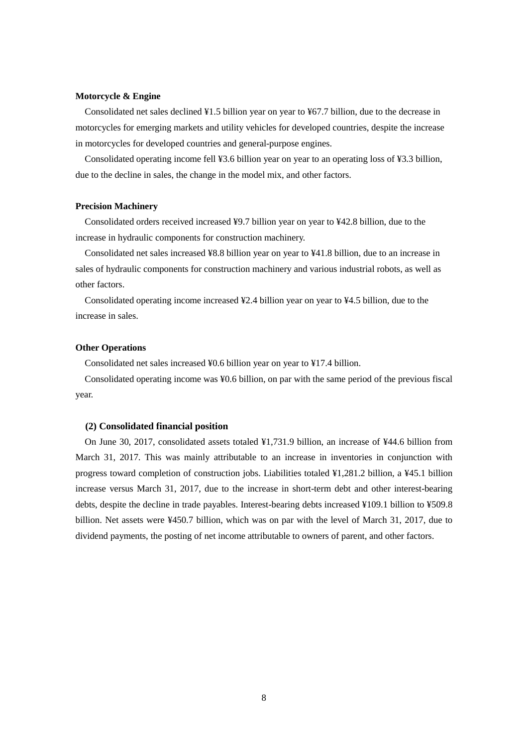#### **Motorcycle & Engine**

Consolidated net sales declined ¥1.5 billion year on year to ¥67.7 billion, due to the decrease in motorcycles for emerging markets and utility vehicles for developed countries, despite the increase in motorcycles for developed countries and general-purpose engines.

Consolidated operating income fell ¥3.6 billion year on year to an operating loss of ¥3.3 billion, due to the decline in sales, the change in the model mix, and other factors.

#### **Precision Machinery**

Consolidated orders received increased ¥9.7 billion year on year to ¥42.8 billion, due to the increase in hydraulic components for construction machinery.

Consolidated net sales increased ¥8.8 billion year on year to ¥41.8 billion, due to an increase in sales of hydraulic components for construction machinery and various industrial robots, as well as other factors.

Consolidated operating income increased ¥2.4 billion year on year to ¥4.5 billion, due to the increase in sales.

#### **Other Operations**

Consolidated net sales increased ¥0.6 billion year on year to ¥17.4 billion.

Consolidated operating income was ¥0.6 billion, on par with the same period of the previous fiscal year.

#### **(2) Consolidated financial position**

On June 30, 2017, consolidated assets totaled ¥1,731.9 billion, an increase of ¥44.6 billion from March 31, 2017. This was mainly attributable to an increase in inventories in conjunction with progress toward completion of construction jobs. Liabilities totaled ¥1,281.2 billion, a ¥45.1 billion increase versus March 31, 2017, due to the increase in short-term debt and other interest-bearing debts, despite the decline in trade payables. Interest-bearing debts increased ¥109.1 billion to ¥509.8 billion. Net assets were ¥450.7 billion, which was on par with the level of March 31, 2017, due to dividend payments, the posting of net income attributable to owners of parent, and other factors.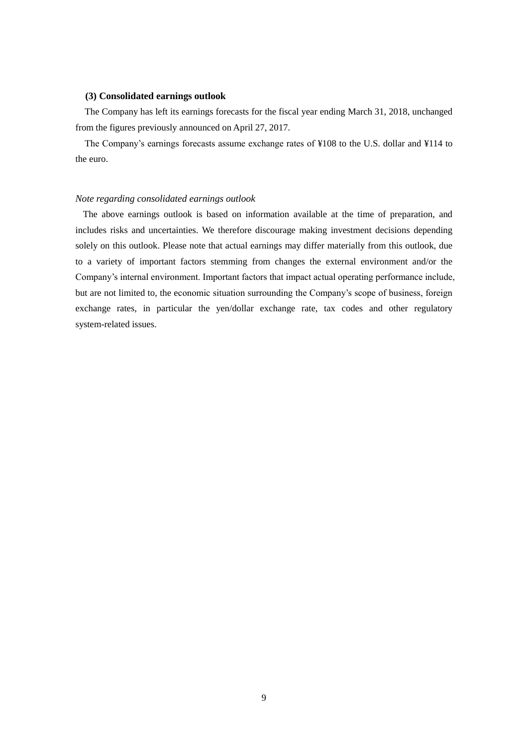#### **(3) Consolidated earnings outlook**

The Company has left its earnings forecasts for the fiscal year ending March 31, 2018, unchanged from the figures previously announced on April 27, 2017.

The Company's earnings forecasts assume exchange rates of ¥108 to the U.S. dollar and ¥114 to the euro.

#### *Note regarding consolidated earnings outlook*

The above earnings outlook is based on information available at the time of preparation, and includes risks and uncertainties. We therefore discourage making investment decisions depending solely on this outlook. Please note that actual earnings may differ materially from this outlook, due to a variety of important factors stemming from changes the external environment and/or the Company's internal environment. Important factors that impact actual operating performance include, but are not limited to, the economic situation surrounding the Company's scope of business, foreign exchange rates, in particular the yen/dollar exchange rate, tax codes and other regulatory system-related issues.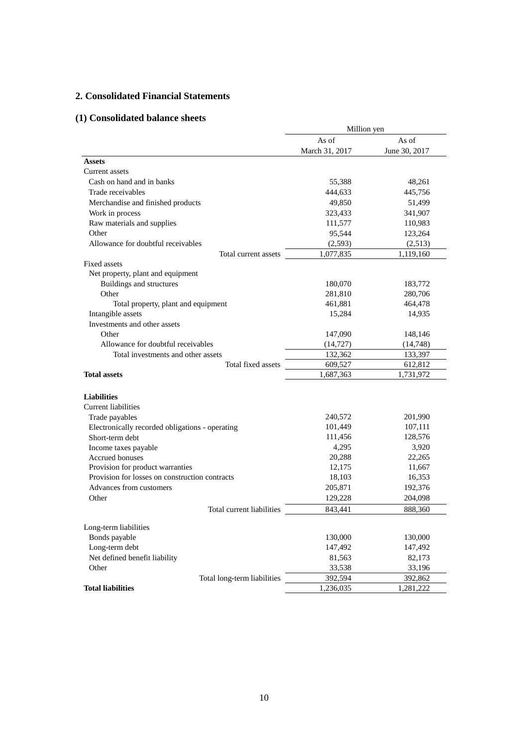# **2. Consolidated Financial Statements**

# **(1) Consolidated balance sheets**

|                                                 | Million yen    |               |  |  |  |
|-------------------------------------------------|----------------|---------------|--|--|--|
|                                                 | As of          | As of         |  |  |  |
|                                                 | March 31, 2017 | June 30, 2017 |  |  |  |
| <b>Assets</b>                                   |                |               |  |  |  |
| Current assets                                  |                |               |  |  |  |
| Cash on hand and in banks                       | 55,388         | 48,261        |  |  |  |
| Trade receivables                               | 444,633        | 445,756       |  |  |  |
| Merchandise and finished products               | 49,850         | 51,499        |  |  |  |
| Work in process                                 | 323,433        | 341,907       |  |  |  |
| Raw materials and supplies                      | 111,577        | 110,983       |  |  |  |
| Other                                           | 95,544         | 123,264       |  |  |  |
| Allowance for doubtful receivables              | (2,593)        | (2,513)       |  |  |  |
| Total current assets                            | 1,077,835      | 1,119,160     |  |  |  |
| <b>Fixed assets</b>                             |                |               |  |  |  |
| Net property, plant and equipment               |                |               |  |  |  |
| Buildings and structures                        | 180,070        | 183,772       |  |  |  |
| Other                                           | 281,810        | 280,706       |  |  |  |
| Total property, plant and equipment             | 461,881        | 464,478       |  |  |  |
| Intangible assets                               | 15,284         | 14,935        |  |  |  |
| Investments and other assets                    |                |               |  |  |  |
| Other                                           | 147,090        | 148,146       |  |  |  |
| Allowance for doubtful receivables              | (14, 727)      | (14,748)      |  |  |  |
| Total investments and other assets              | 132,362        | 133,397       |  |  |  |
| Total fixed assets                              | 609,527        | 612,812       |  |  |  |
| <b>Total assets</b>                             | 1,687,363      | 1,731,972     |  |  |  |
|                                                 |                |               |  |  |  |
| <b>Liabilities</b>                              |                |               |  |  |  |
| <b>Current liabilities</b>                      |                |               |  |  |  |
| Trade payables                                  | 240,572        | 201,990       |  |  |  |
| Electronically recorded obligations - operating | 101,449        | 107,111       |  |  |  |
| Short-term debt                                 | 111,456        | 128,576       |  |  |  |
| Income taxes payable                            | 4,295          | 3,920         |  |  |  |
| Accrued bonuses                                 | 20,288         | 22,265        |  |  |  |
| Provision for product warranties                | 12,175         | 11,667        |  |  |  |
| Provision for losses on construction contracts  | 18,103         | 16,353        |  |  |  |
| Advances from customers                         | 205,871        | 192,376       |  |  |  |
| Other                                           | 129,228        | 204,098       |  |  |  |
| Total current liabilities                       | 843,441        | 888,360       |  |  |  |
| Long-term liabilities                           |                |               |  |  |  |
| Bonds payable                                   | 130,000        | 130,000       |  |  |  |
| Long-term debt                                  | 147,492        | 147,492       |  |  |  |
| Net defined benefit liability                   | 81,563         | 82,173        |  |  |  |
| Other                                           | 33,538         | 33,196        |  |  |  |
| Total long-term liabilities                     | 392,594        | 392,862       |  |  |  |
| <b>Total liabilities</b>                        | 1,236,035      | 1,281,222     |  |  |  |
|                                                 |                |               |  |  |  |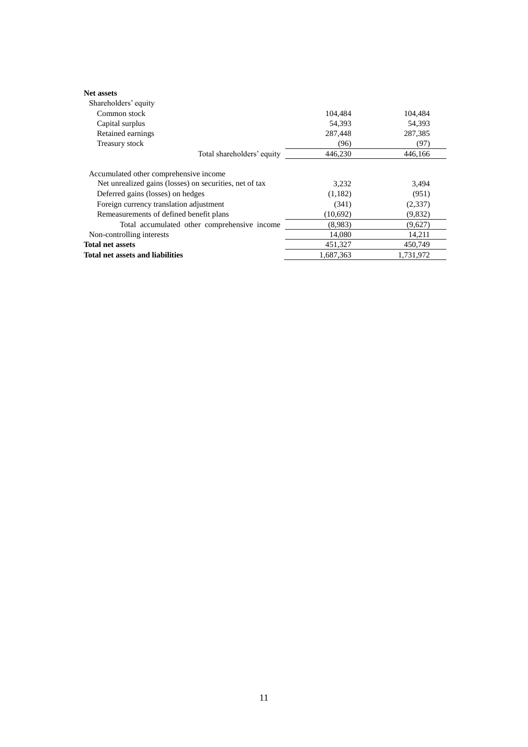| <b>Net assets</b>                                       |           |           |
|---------------------------------------------------------|-----------|-----------|
| Shareholders' equity                                    |           |           |
| Common stock                                            | 104.484   | 104.484   |
| Capital surplus                                         | 54,393    | 54,393    |
| Retained earnings                                       | 287,448   | 287,385   |
| Treasury stock                                          | (96)      | (97)      |
| Total shareholders' equity                              | 446,230   | 446.166   |
| Accumulated other comprehensive income                  |           |           |
| Net unrealized gains (losses) on securities, net of tax | 3,232     | 3.494     |
| Deferred gains (losses) on hedges                       | (1,182)   | (951)     |
| Foreign currency translation adjustment                 | (341)     | (2,337)   |
| Remeasurements of defined benefit plans                 | (10,692)  | (9,832)   |
| Total accumulated other comprehensive income            | (8.983)   | (9,627)   |
| Non-controlling interests                               | 14,080    | 14,211    |
| <b>Total net assets</b>                                 | 451,327   | 450,749   |
| Total net assets and liabilities                        | 1.687.363 | 1,731,972 |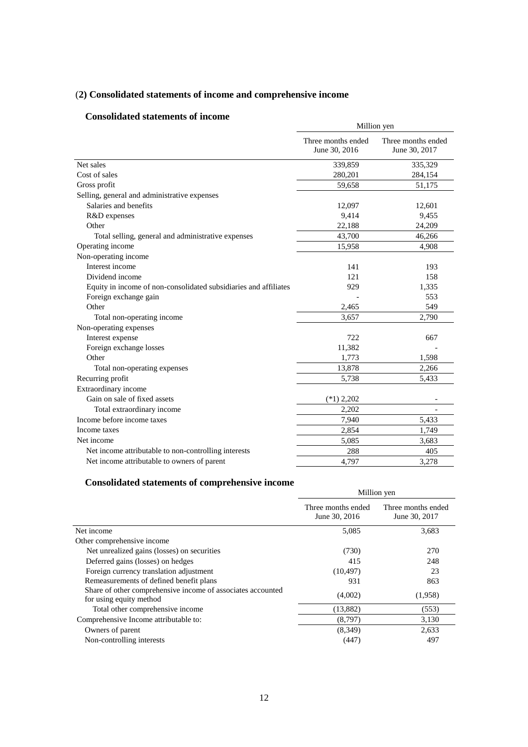# (**2) Consolidated statements of income and comprehensive income**

# **Consolidated statements of income**

| Consonuateu statements of muonie                                 | Million yen                         |                                     |  |
|------------------------------------------------------------------|-------------------------------------|-------------------------------------|--|
|                                                                  | Three months ended<br>June 30, 2016 | Three months ended<br>June 30, 2017 |  |
| Net sales                                                        | 339,859                             | 335,329                             |  |
| Cost of sales                                                    | 280,201                             | 284,154                             |  |
| Gross profit                                                     | 59,658                              | 51,175                              |  |
| Selling, general and administrative expenses                     |                                     |                                     |  |
| Salaries and benefits                                            | 12,097                              | 12,601                              |  |
| R&D expenses                                                     | 9,414                               | 9,455                               |  |
| Other                                                            | 22,188                              | 24,209                              |  |
| Total selling, general and administrative expenses               | 43,700                              | 46,266                              |  |
| Operating income                                                 | 15,958                              | 4,908                               |  |
| Non-operating income                                             |                                     |                                     |  |
| Interest income                                                  | 141                                 | 193                                 |  |
| Dividend income                                                  | 121                                 | 158                                 |  |
| Equity in income of non-consolidated subsidiaries and affiliates | 929                                 | 1,335                               |  |
| Foreign exchange gain                                            |                                     | 553                                 |  |
| Other                                                            | 2,465                               | 549                                 |  |
| Total non-operating income                                       | 3.657                               | 2,790                               |  |
| Non-operating expenses                                           |                                     |                                     |  |
| Interest expense                                                 | 722                                 | 667                                 |  |
| Foreign exchange losses                                          | 11,382                              |                                     |  |
| Other                                                            | 1,773                               | 1,598                               |  |
| Total non-operating expenses                                     | 13,878                              | 2,266                               |  |
| Recurring profit                                                 | 5,738                               | 5,433                               |  |
| Extraordinary income                                             |                                     |                                     |  |
| Gain on sale of fixed assets                                     | $(*1)$ 2,202                        | $\overline{\phantom{a}}$            |  |
| Total extraordinary income                                       | 2,202                               |                                     |  |
| Income before income taxes                                       | 7,940                               | 5,433                               |  |
| Income taxes                                                     | 2,854                               | 1,749                               |  |
| Net income                                                       | 5.085                               | 3.683                               |  |
| Net income attributable to non-controlling interests             | 288                                 | 405                                 |  |
| Net income attributable to owners of parent                      | 4,797                               | 3,278                               |  |

# **Consolidated statements of comprehensive income**

| onbonumeu bimennenio or comprenenbryc meonic                                           | Million yen                         |                                     |  |
|----------------------------------------------------------------------------------------|-------------------------------------|-------------------------------------|--|
|                                                                                        | Three months ended<br>June 30, 2016 | Three months ended<br>June 30, 2017 |  |
| Net income                                                                             | 5,085                               | 3,683                               |  |
| Other comprehensive income                                                             |                                     |                                     |  |
| Net unrealized gains (losses) on securities                                            | (730)                               | 270                                 |  |
| Deferred gains (losses) on hedges                                                      | 415                                 | 248                                 |  |
| Foreign currency translation adjustment                                                | (10, 497)                           | 23                                  |  |
| Remeasurements of defined benefit plans                                                | 931                                 | 863                                 |  |
| Share of other comprehensive income of associates accounted<br>for using equity method | (4,002)                             | (1,958)                             |  |
| Total other comprehensive income                                                       | (13,882)                            | (553)                               |  |
| Comprehensive Income attributable to:                                                  | (8,797)                             | 3,130                               |  |
| Owners of parent                                                                       | (8,349)                             | 2,633                               |  |
| Non-controlling interests                                                              | (447)                               | 497                                 |  |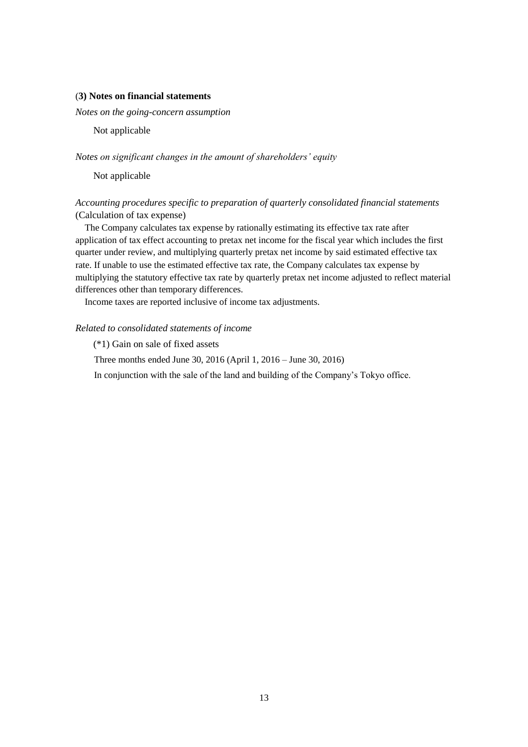#### (**3) Notes on financial statements**

*Notes on the going-concern assumption* 

Not applicable

*Notes on significant changes in the amount of shareholders' equity*

Not applicable

# *Accounting procedures specific to preparation of quarterly consolidated financial statements* (Calculation of tax expense)

The Company calculates tax expense by rationally estimating its effective tax rate after application of tax effect accounting to pretax net income for the fiscal year which includes the first quarter under review, and multiplying quarterly pretax net income by said estimated effective tax rate. If unable to use the estimated effective tax rate, the Company calculates tax expense by multiplying the statutory effective tax rate by quarterly pretax net income adjusted to reflect material differences other than temporary differences.

Income taxes are reported inclusive of income tax adjustments.

#### *Related to consolidated statements of income*

(\*1) Gain on sale of fixed assets

Three months ended June 30, 2016 (April 1, 2016 – June 30, 2016)

In conjunction with the sale of the land and building of the Company's Tokyo office.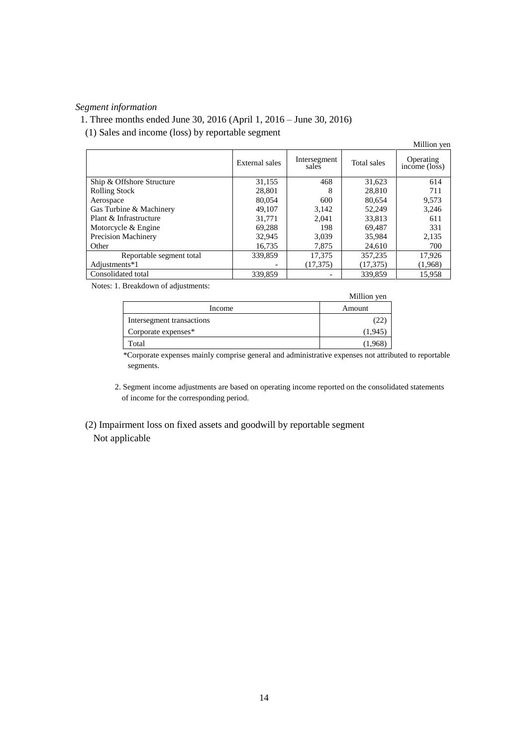## *Segment information*

1. Three months ended June 30, 2016 (April 1, 2016 – June 30, 2016)

(1) Sales and income (loss) by reportable segment

|                            |                |                       |             | Million yen                                    |
|----------------------------|----------------|-----------------------|-------------|------------------------------------------------|
|                            | External sales | Intersegment<br>sales | Total sales | Operating<br>income $(\overline{\text{loss}})$ |
| Ship & Offshore Structure  | 31,155         | 468                   | 31,623      | 614                                            |
| <b>Rolling Stock</b>       | 28,801         | 8                     | 28,810      | 711                                            |
| Aerospace                  | 80,054         | 600                   | 80,654      | 9,573                                          |
| Gas Turbine & Machinery    | 49.107         | 3.142                 | 52.249      | 3,246                                          |
| Plant & Infrastructure     | 31.771         | 2.041                 | 33,813      | 611                                            |
| Motorcycle & Engine        | 69.288         | 198                   | 69,487      | 331                                            |
| <b>Precision Machinery</b> | 32,945         | 3,039                 | 35,984      | 2,135                                          |
| Other                      | 16.735         | 7.875                 | 24,610      | 700                                            |
| Reportable segment total   | 339,859        | 17,375                | 357,235     | 17,926                                         |
| Adjustments*1              |                | (17, 375)             | (17, 375)   | (1,968)                                        |
| Consolidated total         | 339,859        |                       | 339,859     | 15.958                                         |

Notes: 1. Breakdown of adjustments:

|                           | Million yen |
|---------------------------|-------------|
| Income                    | Amount      |
| Intersegment transactions |             |
| Corporate expenses*       | (1.945      |
| Total                     | (1,968      |

\*Corporate expenses mainly comprise general and administrative expenses not attributed to reportable segments.

- 2. Segment income adjustments are based on operating income reported on the consolidated statements of income for the corresponding period.
- (2) Impairment loss on fixed assets and goodwill by reportable segment Not applicable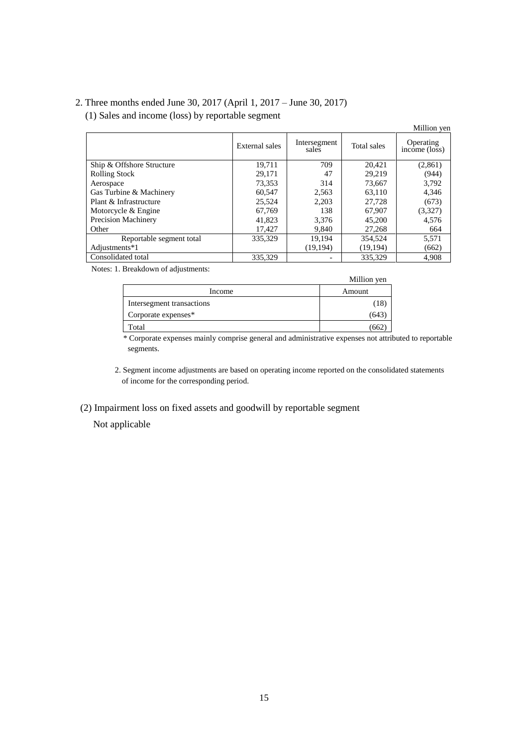# 2. Three months ended June 30, 2017 (April 1, 2017 – June 30, 2017)

# (1) Sales and income (loss) by reportable segment

|                            |                |                       |             | минон уен                  |
|----------------------------|----------------|-----------------------|-------------|----------------------------|
|                            | External sales | Intersegment<br>sales | Total sales | Operating<br>income (loss) |
| Ship & Offshore Structure  | 19,711         | 709                   | 20,421      | (2,861)                    |
| <b>Rolling Stock</b>       | 29,171         | 47                    | 29,219      | (944)                      |
| Aerospace                  | 73,353         | 314                   | 73,667      | 3,792                      |
| Gas Turbine & Machinery    | 60,547         | 2,563                 | 63,110      | 4,346                      |
| Plant & Infrastructure     | 25,524         | 2,203                 | 27.728      | (673)                      |
| Motorcycle & Engine        | 67,769         | 138                   | 67,907      | (3,327)                    |
| <b>Precision Machinery</b> | 41,823         | 3.376                 | 45,200      | 4,576                      |
| Other                      | 17,427         | 9,840                 | 27,268      | 664                        |
| Reportable segment total   | 335,329        | 19.194                | 354,524     | 5,571                      |
| Adjustments*1              |                | (19, 194)             | (19,194)    | (662)                      |
| Consolidated total         | 335.329        |                       | 335.329     | 4.908                      |

Million yen

Notes: 1. Breakdown of adjustments:

|                           | Million yen |
|---------------------------|-------------|
| Income                    | Amount      |
| Intersegment transactions |             |
| Corporate expenses*       | 643         |
| Total                     | 66          |

\* Corporate expenses mainly comprise general and administrative expenses not attributed to reportable segments.

2. Segment income adjustments are based on operating income reported on the consolidated statements of income for the corresponding period.

(2) Impairment loss on fixed assets and goodwill by reportable segment

Not applicable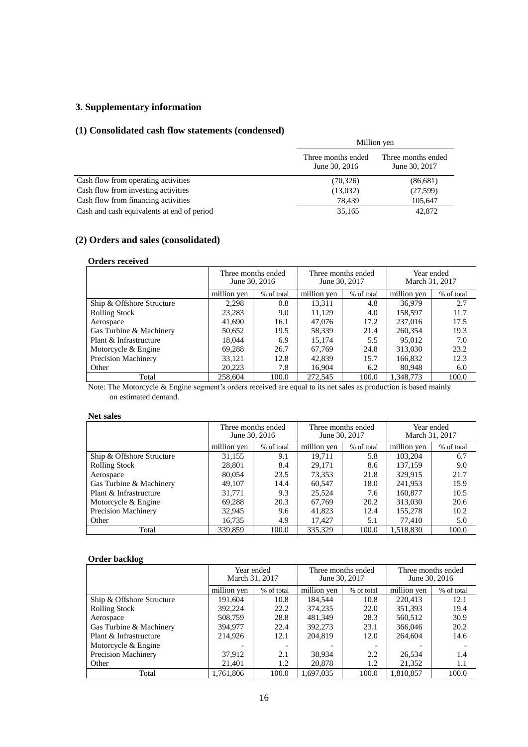# **3. Supplementary information**

## **(1) Consolidated cash flow statements (condensed)**

|                                            | Million yen                         |                                     |
|--------------------------------------------|-------------------------------------|-------------------------------------|
|                                            | Three months ended<br>June 30, 2016 | Three months ended<br>June 30, 2017 |
| Cash flow from operating activities        | (70, 326)                           | (86,681)                            |
| Cash flow from investing activities        | (13,032)                            | (27,599)                            |
| Cash flow from financing activities        | 78,439                              | 105,647                             |
| Cash and cash equivalents at end of period | 35,165                              | 42,872                              |

# **(2) Orders and sales (consolidated)**

#### **Orders received**

|                            |             | Three months ended<br>June 30, 2016 | Three months ended<br>June 30, 2017 |            | March 31, 2017 | Year ended |
|----------------------------|-------------|-------------------------------------|-------------------------------------|------------|----------------|------------|
|                            | million yen | % of total                          | million yen                         | % of total | million yen    | % of total |
| Ship & Offshore Structure  | 2.298       | 0.8                                 | 13.311                              | 4.8        | 36,979         | 2.7        |
| <b>Rolling Stock</b>       | 23,283      | 9.0                                 | 11,129                              | 4.0        | 158,597        | 11.7       |
| Aerospace                  | 41,690      | 16.1                                | 47,076                              | 17.2       | 237,016        | 17.5       |
| Gas Turbine & Machinery    | 50,652      | 19.5                                | 58,339                              | 21.4       | 260,354        | 19.3       |
| Plant & Infrastructure     | 18.044      | 6.9                                 | 15.174                              | 5.5        | 95,012         | 7.0        |
| Motorcycle & Engine        | 69,288      | 26.7                                | 67,769                              | 24.8       | 313,030        | 23.2       |
| <b>Precision Machinery</b> | 33,121      | 12.8                                | 42,839                              | 15.7       | 166,832        | 12.3       |
| Other                      | 20,223      | 7.8                                 | 16,904                              | 6.2        | 80,948         | 6.0        |
| Total                      | 258,604     | 100.0                               | 272,545                             | 100.0      | 1.348.773      | 100.0      |

Note: The Motorcycle & Engine segment's orders received are equal to its net sales as production is based mainly on estimated demand.

## **Net sales**

|                            | Three months ended<br>June 30, 2016 |            | June 30, 2017 | Three months ended | Year ended<br>March 31, 2017 |            |
|----------------------------|-------------------------------------|------------|---------------|--------------------|------------------------------|------------|
|                            | million yen                         | % of total | million yen   | % of total         | million yen                  | % of total |
| Ship & Offshore Structure  | 31,155                              | 9.1        | 19.711        | 5.8                | 103.204                      | 6.7        |
| <b>Rolling Stock</b>       | 28,801                              | 8.4        | 29.171        | 8.6                | 137,159                      | 9.0        |
| Aerospace                  | 80,054                              | 23.5       | 73,353        | 21.8               | 329,915                      | 21.7       |
| Gas Turbine & Machinery    | 49.107                              | 14.4       | 60.547        | 18.0               | 241,953                      | 15.9       |
| Plant & Infrastructure     | 31.771                              | 9.3        | 25.524        | 7.6                | 160,877                      | 10.5       |
| Motorcycle & Engine        | 69,288                              | 20.3       | 67.769        | 20.2               | 313,030                      | 20.6       |
| <b>Precision Machinery</b> | 32,945                              | 9.6        | 41,823        | 12.4               | 155,278                      | 10.2       |
| Other                      | 16,735                              | 4.9        | 17.427        | 5.1                | 77.410                       | 5.0        |
| Total                      | 339,859                             | 100.0      | 335,329       | 100.0              | 1,518,830                    | 100.0      |

# **Order backlog**

|                            | March 31, 2017 | Year ended | June 30, 2017 | Three months ended | Three months ended | June 30, 2016 |
|----------------------------|----------------|------------|---------------|--------------------|--------------------|---------------|
|                            | million ven    | % of total | million yen   | % of total         | million yen        | % of total    |
| Ship & Offshore Structure  | 191.604        | 10.8       | 184.544       | 10.8               | 220.413            | 12.1          |
| <b>Rolling Stock</b>       | 392.224        | 22.2       | 374.235       | 22.0               | 351,393            | 19.4          |
| Aerospace                  | 508,759        | 28.8       | 481.349       | 28.3               | 560,512            | 30.9          |
| Gas Turbine & Machinery    | 394,977        | 22.4       | 392,273       | 23.1               | 366,046            | 20.2          |
| Plant & Infrastructure     | 214,926        | 12.1       | 204,819       | 12.0               | 264,604            | 14.6          |
| Motorcycle & Engine        |                |            |               |                    |                    |               |
| <b>Precision Machinery</b> | 37,912         | 2.1        | 38,934        | 2.2                | 26,534             | 1.4           |
| Other                      | 21,401         | 1.2        | 20,878        | 1.2                | 21,352             | 1.1           |
| Total                      | 1,761,806      | 100.0      | 1.697.035     | 100.0              | 1.810.857          | 100.0         |